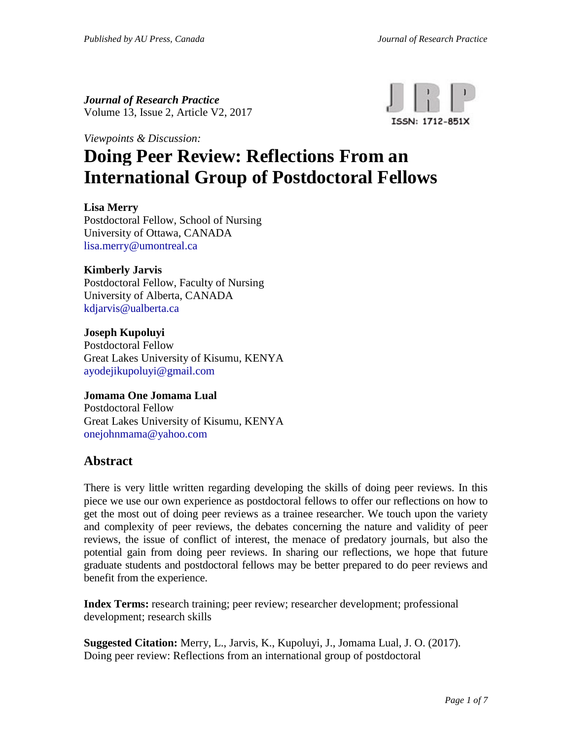*Journal of Research Practice* Volume 13, Issue 2, Article V2, 2017



*Viewpoints & Discussion:*

# **Doing Peer Review: Reflections From an International Group of Postdoctoral Fellows**

#### **Lisa Merry**

Postdoctoral Fellow, School of Nursing University of Ottawa, CANADA [lisa.merry@umontreal.ca](mailto:lisa.merry@umontreal.ca)

#### **Kimberly Jarvis**

Postdoctoral Fellow, Faculty of Nursing University of Alberta, CANADA [kdjarvis@ualberta.ca](mailto:kdjarvis@ualberta.ca)

#### **Joseph Kupoluyi**

Postdoctoral Fellow Great Lakes University of Kisumu, KENYA [ayodejikupoluyi@gmail.com](mailto:ayodejikupoluyi@gmail.com)

# **Jomama One Jomama Lual**

Postdoctoral Fellow Great Lakes University of Kisumu, KENYA [onejohnmama@yahoo.com](mailto:onejohnmama@yahoo.com)

#### **Abstract**

There is very little written regarding developing the skills of doing peer reviews. In this piece we use our own experience as postdoctoral fellows to offer our reflections on how to get the most out of doing peer reviews as a trainee researcher. We touch upon the variety and complexity of peer reviews, the debates concerning the nature and validity of peer reviews, the issue of conflict of interest, the menace of predatory journals, but also the potential gain from doing peer reviews. In sharing our reflections, we hope that future graduate students and postdoctoral fellows may be better prepared to do peer reviews and benefit from the experience.

**Index Terms:** research training; peer review; researcher development; professional development; research skills

**Suggested Citation:** Merry, L., Jarvis, K., Kupoluyi, J., Jomama Lual, J. O. (2017). Doing peer review: Reflections from an international group of postdoctoral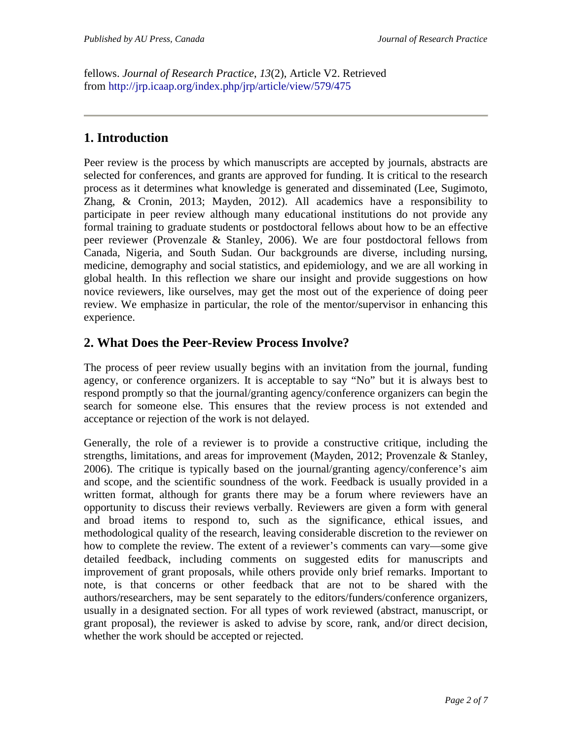fellows. *Journal of Research Practice*, *13*(2), Article V2. Retrieved from <http://jrp.icaap.org/index.php/jrp/article/view/579/475>

# **1. Introduction**

Peer review is the process by which manuscripts are accepted by journals, abstracts are selected for conferences, and grants are approved for funding. It is critical to the research process as it determines what knowledge is generated and disseminated (Lee, Sugimoto, Zhang, & Cronin, 2013; Mayden, 2012). All academics have a responsibility to participate in peer review although many educational institutions do not provide any formal training to graduate students or postdoctoral fellows about how to be an effective peer reviewer (Provenzale & Stanley, 2006). We are four postdoctoral fellows from Canada, Nigeria, and South Sudan. Our backgrounds are diverse, including nursing, medicine, demography and social statistics, and epidemiology, and we are all working in global health. In this reflection we share our insight and provide suggestions on how novice reviewers, like ourselves, may get the most out of the experience of doing peer review. We emphasize in particular, the role of the mentor/supervisor in enhancing this experience.

## **2. What Does the Peer-Review Process Involve?**

The process of peer review usually begins with an invitation from the journal, funding agency, or conference organizers. It is acceptable to say "No" but it is always best to respond promptly so that the journal/granting agency/conference organizers can begin the search for someone else. This ensures that the review process is not extended and acceptance or rejection of the work is not delayed.

Generally, the role of a reviewer is to provide a constructive critique, including the strengths, limitations, and areas for improvement (Mayden, 2012; Provenzale & Stanley, 2006). The critique is typically based on the journal/granting agency/conference's aim and scope, and the scientific soundness of the work. Feedback is usually provided in a written format, although for grants there may be a forum where reviewers have an opportunity to discuss their reviews verbally. Reviewers are given a form with general and broad items to respond to, such as the significance, ethical issues, and methodological quality of the research, leaving considerable discretion to the reviewer on how to complete the review. The extent of a reviewer's comments can vary—some give detailed feedback, including comments on suggested edits for manuscripts and improvement of grant proposals, while others provide only brief remarks. Important to note, is that concerns or other feedback that are not to be shared with the authors/researchers, may be sent separately to the editors/funders/conference organizers, usually in a designated section. For all types of work reviewed (abstract, manuscript, or grant proposal), the reviewer is asked to advise by score, rank, and/or direct decision, whether the work should be accepted or rejected.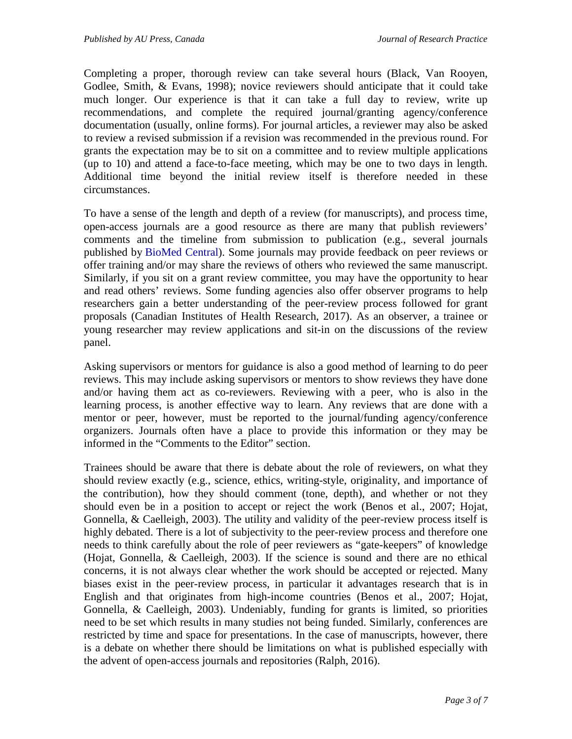Completing a proper, thorough review can take several hours (Black, Van Rooyen, Godlee, Smith, & Evans, 1998); novice reviewers should anticipate that it could take much longer. Our experience is that it can take a full day to review, write up recommendations, and complete the required journal/granting agency/conference documentation (usually, online forms). For journal articles, a reviewer may also be asked to review a revised submission if a revision was recommended in the previous round. For grants the expectation may be to sit on a committee and to review multiple applications (up to 10) and attend a face-to-face meeting, which may be one to two days in length. Additional time beyond the initial review itself is therefore needed in these circumstances.

To have a sense of the length and depth of a review (for manuscripts), and process time, open-access journals are a good resource as there are many that publish reviewers' comments and the timeline from submission to publication (e.g., several journals published by [BioMed Central\)](https://www.biomedcentral.com/journals-a-z). Some journals may provide feedback on peer reviews or offer training and/or may share the reviews of others who reviewed the same manuscript. Similarly, if you sit on a grant review committee, you may have the opportunity to hear and read others' reviews. Some funding agencies also offer observer programs to help researchers gain a better understanding of the peer-review process followed for grant proposals (Canadian Institutes of Health Research, 2017). As an observer, a trainee or young researcher may review applications and sit-in on the discussions of the review panel.

Asking supervisors or mentors for guidance is also a good method of learning to do peer reviews. This may include asking supervisors or mentors to show reviews they have done and/or having them act as co-reviewers. Reviewing with a peer, who is also in the learning process, is another effective way to learn. Any reviews that are done with a mentor or peer, however, must be reported to the journal/funding agency/conference organizers. Journals often have a place to provide this information or they may be informed in the "Comments to the Editor" section.

Trainees should be aware that there is debate about the role of reviewers, on what they should review exactly (e.g., science, ethics, writing-style, originality, and importance of the contribution), how they should comment (tone, depth), and whether or not they should even be in a position to accept or reject the work (Benos et al., 2007; Hojat, Gonnella, & Caelleigh, 2003). The utility and validity of the peer-review process itself is highly debated. There is a lot of subjectivity to the peer-review process and therefore one needs to think carefully about the role of peer reviewers as "gate-keepers" of knowledge (Hojat, Gonnella, & Caelleigh, 2003). If the science is sound and there are no ethical concerns, it is not always clear whether the work should be accepted or rejected. Many biases exist in the peer-review process, in particular it advantages research that is in English and that originates from high-income countries (Benos et al., 2007; Hojat, Gonnella, & Caelleigh, 2003). Undeniably, funding for grants is limited, so priorities need to be set which results in many studies not being funded. Similarly, conferences are restricted by time and space for presentations. In the case of manuscripts, however, there is a debate on whether there should be limitations on what is published especially with the advent of open-access journals and repositories (Ralph, 2016).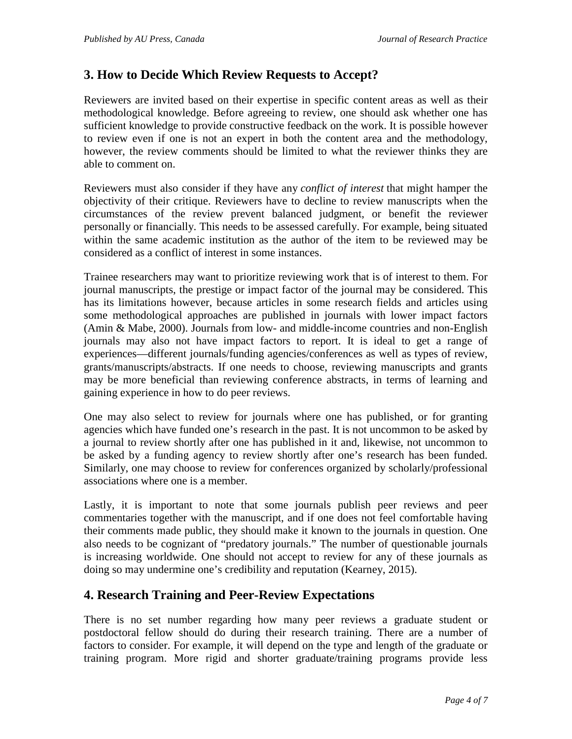#### **3. How to Decide Which Review Requests to Accept?**

Reviewers are invited based on their expertise in specific content areas as well as their methodological knowledge. Before agreeing to review, one should ask whether one has sufficient knowledge to provide constructive feedback on the work. It is possible however to review even if one is not an expert in both the content area and the methodology, however, the review comments should be limited to what the reviewer thinks they are able to comment on.

Reviewers must also consider if they have any *conflict of interest* that might hamper the objectivity of their critique. Reviewers have to decline to review manuscripts when the circumstances of the review prevent balanced judgment, or benefit the reviewer personally or financially. This needs to be assessed carefully. For example, being situated within the same academic institution as the author of the item to be reviewed may be considered as a conflict of interest in some instances.

Trainee researchers may want to prioritize reviewing work that is of interest to them. For journal manuscripts, the prestige or impact factor of the journal may be considered. This has its limitations however, because articles in some research fields and articles using some methodological approaches are published in journals with lower impact factors (Amin & Mabe, 2000). Journals from low- and middle-income countries and non-English journals may also not have impact factors to report. It is ideal to get a range of experiences—different journals/funding agencies/conferences as well as types of review, grants/manuscripts/abstracts. If one needs to choose, reviewing manuscripts and grants may be more beneficial than reviewing conference abstracts, in terms of learning and gaining experience in how to do peer reviews.

One may also select to review for journals where one has published, or for granting agencies which have funded one's research in the past. It is not uncommon to be asked by a journal to review shortly after one has published in it and, likewise, not uncommon to be asked by a funding agency to review shortly after one's research has been funded. Similarly, one may choose to review for conferences organized by scholarly/professional associations where one is a member.

Lastly, it is important to note that some journals publish peer reviews and peer commentaries together with the manuscript, and if one does not feel comfortable having their comments made public, they should make it known to the journals in question. One also needs to be cognizant of "predatory journals." The number of questionable journals is increasing worldwide. One should not accept to review for any of these journals as doing so may undermine one's credibility and reputation (Kearney, 2015).

## **4. Research Training and Peer-Review Expectations**

There is no set number regarding how many peer reviews a graduate student or postdoctoral fellow should do during their research training. There are a number of factors to consider. For example, it will depend on the type and length of the graduate or training program. More rigid and shorter graduate/training programs provide less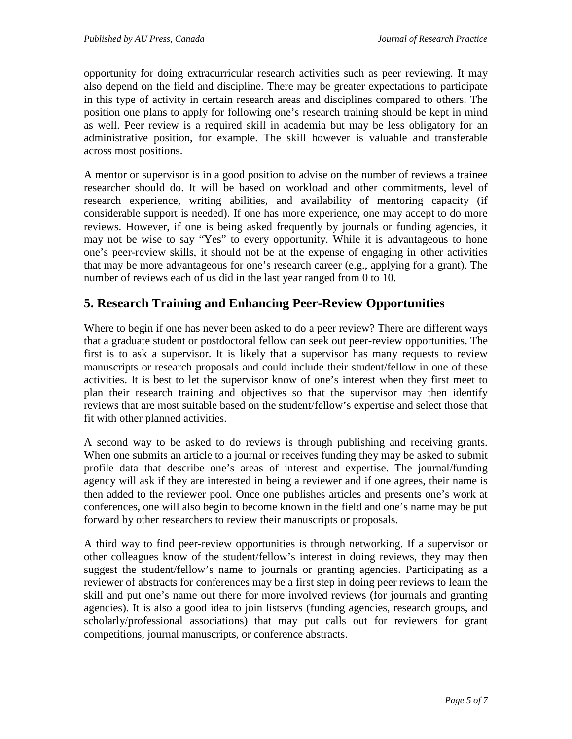opportunity for doing extracurricular research activities such as peer reviewing. It may also depend on the field and discipline. There may be greater expectations to participate in this type of activity in certain research areas and disciplines compared to others. The position one plans to apply for following one's research training should be kept in mind as well. Peer review is a required skill in academia but may be less obligatory for an administrative position, for example. The skill however is valuable and transferable across most positions.

A mentor or supervisor is in a good position to advise on the number of reviews a trainee researcher should do. It will be based on workload and other commitments, level of research experience, writing abilities, and availability of mentoring capacity (if considerable support is needed). If one has more experience, one may accept to do more reviews. However, if one is being asked frequently by journals or funding agencies, it may not be wise to say "Yes" to every opportunity. While it is advantageous to hone one's peer-review skills, it should not be at the expense of engaging in other activities that may be more advantageous for one's research career (e.g., applying for a grant). The number of reviews each of us did in the last year ranged from 0 to 10.

## **5. Research Training and Enhancing Peer-Review Opportunities**

Where to begin if one has never been asked to do a peer review? There are different ways that a graduate student or postdoctoral fellow can seek out peer-review opportunities. The first is to ask a supervisor. It is likely that a supervisor has many requests to review manuscripts or research proposals and could include their student/fellow in one of these activities. It is best to let the supervisor know of one's interest when they first meet to plan their research training and objectives so that the supervisor may then identify reviews that are most suitable based on the student/fellow's expertise and select those that fit with other planned activities.

A second way to be asked to do reviews is through publishing and receiving grants. When one submits an article to a journal or receives funding they may be asked to submit profile data that describe one's areas of interest and expertise. The journal/funding agency will ask if they are interested in being a reviewer and if one agrees, their name is then added to the reviewer pool. Once one publishes articles and presents one's work at conferences, one will also begin to become known in the field and one's name may be put forward by other researchers to review their manuscripts or proposals.

A third way to find peer-review opportunities is through networking. If a supervisor or other colleagues know of the student/fellow's interest in doing reviews, they may then suggest the student/fellow's name to journals or granting agencies. Participating as a reviewer of abstracts for conferences may be a first step in doing peer reviews to learn the skill and put one's name out there for more involved reviews (for journals and granting agencies). It is also a good idea to join listservs (funding agencies, research groups, and scholarly/professional associations) that may put calls out for reviewers for grant competitions, journal manuscripts, or conference abstracts.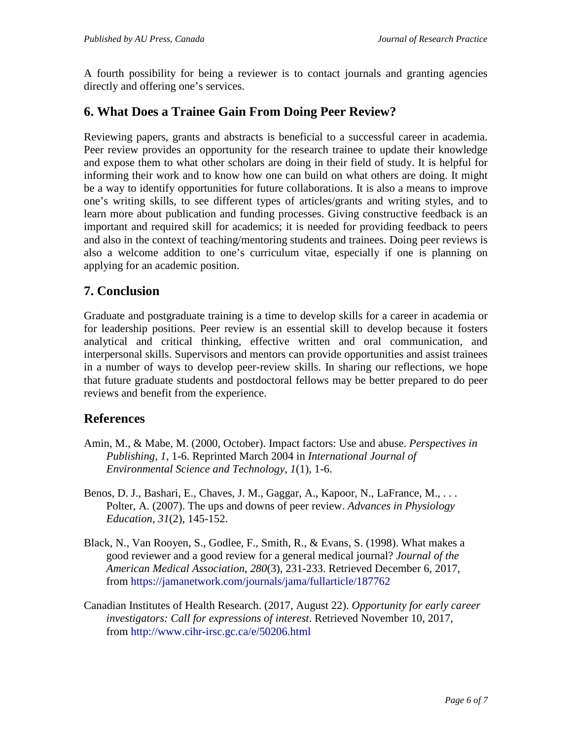A fourth possibility for being a reviewer is to contact journals and granting agencies directly and offering one's services.

## **6. What Does a Trainee Gain From Doing Peer Review?**

Reviewing papers, grants and abstracts is beneficial to a successful career in academia. Peer review provides an opportunity for the research trainee to update their knowledge and expose them to what other scholars are doing in their field of study. It is helpful for informing their work and to know how one can build on what others are doing. It might be a way to identify opportunities for future collaborations. It is also a means to improve one's writing skills, to see different types of articles/grants and writing styles, and to learn more about publication and funding processes. Giving constructive feedback is an important and required skill for academics; it is needed for providing feedback to peers and also in the context of teaching/mentoring students and trainees. Doing peer reviews is also a welcome addition to one's curriculum vitae, especially if one is planning on applying for an academic position.

## **7. Conclusion**

Graduate and postgraduate training is a time to develop skills for a career in academia or for leadership positions. Peer review is an essential skill to develop because it fosters analytical and critical thinking, effective written and oral communication, and interpersonal skills. Supervisors and mentors can provide opportunities and assist trainees in a number of ways to develop peer-review skills. In sharing our reflections, we hope that future graduate students and postdoctoral fellows may be better prepared to do peer reviews and benefit from the experience.

#### **References**

- Amin, M., & Mabe, M. (2000, October). Impact factors: Use and abuse. *Perspectives in Publishing*, *1*, 1-6. Reprinted March 2004 in *International Journal of Environmental Science and Technology*, *1*(1), 1-6.
- Benos, D. J., Bashari, E., Chaves, J. M., Gaggar, A., Kapoor, N., LaFrance, M., . . . Polter, A. (2007). The ups and downs of peer review. *Advances in Physiology Education*, *31*(2), 145-152.
- Black, N., Van Rooyen, S., Godlee, F., Smith, R., & Evans, S. (1998). What makes a good reviewer and a good review for a general medical journal? *Journal of the American Medical Association*, *280*(3), 231-233. Retrieved December 6, 2017, from <https://jamanetwork.com/journals/jama/fullarticle/187762>
- Canadian Institutes of Health Research. (2017, August 22). *Opportunity for early career investigators: Call for expressions of interest*. Retrieved November 10, 2017, from <http://www.cihr-irsc.gc.ca/e/50206.html>